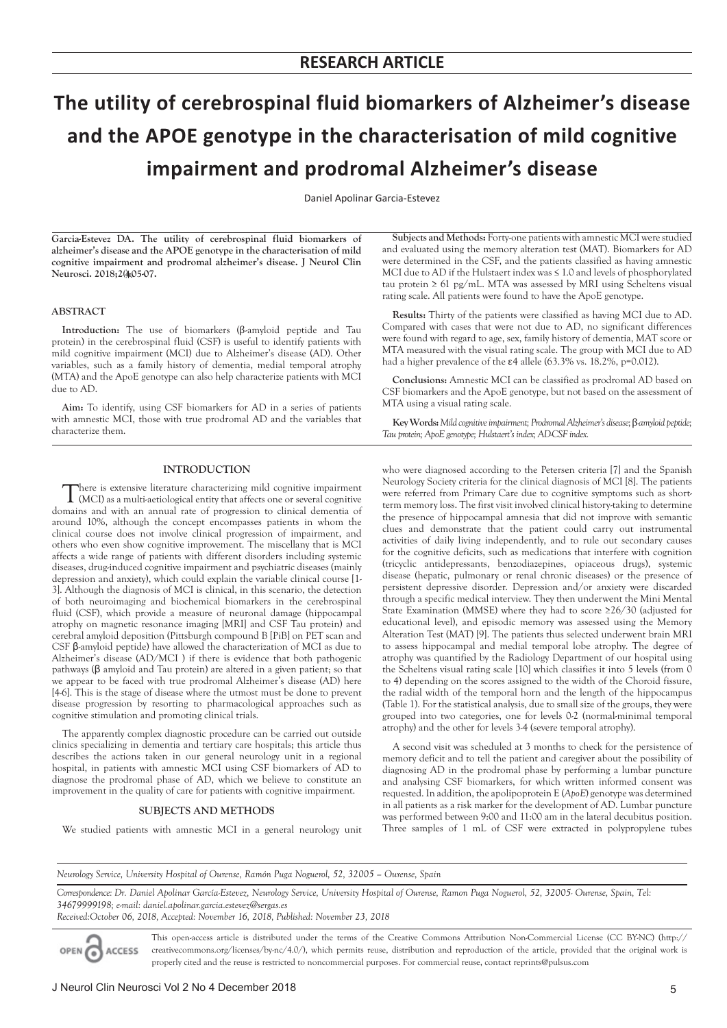# **The utility of cerebrospinal fluid biomarkers of Alzheimer's disease and the APOE genotype in the characterisation of mild cognitive impairment and prodromal Alzheimer's disease**

Daniel Apolinar Garcia-Estevez

**Garcia-Estevez DA. The utility of cerebrospinal fluid biomarkers of alzheimer's disease and the APOE genotype in the characterisation of mild cognitive impairment and prodromal alzheimer's disease. J Neurol Clin**  Neurosci. 2018;2(<u>\*</u>05-07.

### **ABSTRACT**

**Introduction:** The use of biomarkers (β-amyloid peptide and Tau protein) in the cerebrospinal fluid (CSF) is useful to identify patients with mild cognitive impairment (MCI) due to Alzheimer's disease (AD). Other variables, such as a family history of dementia, medial temporal atrophy (MTA) and the ApoE genotype can also help characterize patients with MCI due to AD.

**Aim:** To identify, using CSF biomarkers for AD in a series of patients with amnestic MCI, those with true prodromal AD and the variables that characterize them.

### **INTRODUCTION**

There is extensive literature characterizing mild cognitive impairment (MCI) as a multi-aetiological entity that affects one or several cognitive domains and with an annual rate of progression to clinical dementia of around 10%, although the concept encompasses patients in whom the clinical course does not involve clinical progression of impairment, and others who even show cognitive improvement. The miscellany that is MCI affects a wide range of patients with different disorders including systemic diseases, drug-induced cognitive impairment and psychiatric diseases (mainly depression and anxiety), which could explain the variable clinical course [1- 3]. Although the diagnosis of MCI is clinical, in this scenario, the detection of both neuroimaging and biochemical biomarkers in the cerebrospinal fluid (CSF), which provide a measure of neuronal damage (hippocampal atrophy on magnetic resonance imaging [MRI] and CSF Tau protein) and cerebral amyloid deposition (Pittsburgh compound B [PiB] on PET scan and CSF β-amyloid peptide) have allowed the characterization of MCI as due to Alzheimer's disease (AD/MCI ) if there is evidence that both pathogenic pathways (β amyloid and Tau protein) are altered in a given patient; so that we appear to be faced with true prodromal Alzheimer's disease (AD) here [4-6]. This is the stage of disease where the utmost must be done to prevent disease progression by resorting to pharmacological approaches such as cognitive stimulation and promoting clinical trials.

The apparently complex diagnostic procedure can be carried out outside clinics specializing in dementia and tertiary care hospitals; this article thus describes the actions taken in our general neurology unit in a regional hospital, in patients with amnestic MCI using CSF biomarkers of AD to diagnose the prodromal phase of AD, which we believe to constitute an improvement in the quality of care for patients with cognitive impairment.

#### **SUBJECTS AND METHODS**

We studied patients with amnestic MCI in a general neurology unit

**Subjects and Methods:** Forty-one patients with amnestic MCI were studied and evaluated using the memory alteration test (MAT). Biomarkers for AD were determined in the CSF, and the patients classified as having amnestic MCI due to AD if the Hulstaert index was ≤ 1.0 and levels of phosphorylated tau protein ≥ 61 pg/mL. MTA was assessed by MRI using Scheltens visual rating scale. All patients were found to have the ApoE genotype.

**Results:** Thirty of the patients were classified as having MCI due to AD. Compared with cases that were not due to AD, no significant differences were found with regard to age, sex, family history of dementia, MAT score or MTA measured with the visual rating scale. The group with MCI due to AD had a higher prevalence of the ε4 allele (63.3% vs. 18.2%, p=0.012).

**Conclusions:** Amnestic MCI can be classified as prodromal AD based on CSF biomarkers and the ApoE genotype, but not based on the assessment of MTA using a visual rating scale.

**Key Words:***Mild cognitive impairment; Prodromal Alzheimer's disease;* β*-amyloid peptide; Tau protein; ApoE genotype; Hulstaert's index; AD-CSF index.*

who were diagnosed according to the Petersen criteria [7] and the Spanish Neurology Society criteria for the clinical diagnosis of MCI [8]. The patients were referred from Primary Care due to cognitive symptoms such as shortterm memory loss. The first visit involved clinical history-taking to determine the presence of hippocampal amnesia that did not improve with semantic clues and demonstrate that the patient could carry out instrumental activities of daily living independently, and to rule out secondary causes for the cognitive deficits, such as medications that interfere with cognition (tricyclic antidepressants, benzodiazepines, opiaceous drugs), systemic disease (hepatic, pulmonary or renal chronic diseases) or the presence of persistent depressive disorder. Depression and/or anxiety were discarded through a specific medical interview. They then underwent the Mini Mental State Examination (MMSE) where they had to score ≥26/30 (adjusted for educational level), and episodic memory was assessed using the Memory Alteration Test (MAT) [9]. The patients thus selected underwent brain MRI to assess hippocampal and medial temporal lobe atrophy. The degree of atrophy was quantified by the Radiology Department of our hospital using the Scheltens visual rating scale [10] which classifies it into 5 levels (from 0 to 4) depending on the scores assigned to the width of the Choroid fissure, the radial width of the temporal horn and the length of the hippocampus (Table 1). For the statistical analysis, due to small size of the groups, they were grouped into two categories, one for levels 0-2 (normal-minimal temporal atrophy) and the other for levels 3-4 (severe temporal atrophy).

A second visit was scheduled at 3 months to check for the persistence of memory deficit and to tell the patient and caregiver about the possibility of diagnosing AD in the prodromal phase by performing a lumbar puncture and analysing CSF biomarkers, for which written informed consent was requested. In addition, the apolipoprotein E (*ApoE*) genotype was determined in all patients as a risk marker for the development of AD. Lumbar puncture was performed between 9:00 and 11:00 am in the lateral decubitus position. Three samples of 1 mL of CSF were extracted in polypropylene tubes

*Neurology Service, University Hospital of Ourense, Ramón Puga Noguerol, 52, 32005 – Ourense, Spain* 

*Correspondence: Dr. Daniel Apolinar García-Estevez, Neurology Service, University Hospital of Ourense, Ramon Puga Noguerol, 52, 32005- Ourense, Spain, Tel: 34679999198; e-mail: daniel.apolinar.garcia.estevez@sergas.es*

*Received:October 06, 2018, Accepted: November 16, 2018, Published: November 23, 2018*

This open-access article is distributed under the terms of the Creative Commons Attribution Non-Commercial License (CC BY-NC) (http:// creativecommons.org/licenses/by-nc/4.0/), which permits reuse, distribution and reproduction of the article, provided that the original work is OPEN CACCESS properly cited and the reuse is restricted to noncommercial purposes. For commercial reuse, contact reprints@pulsus.com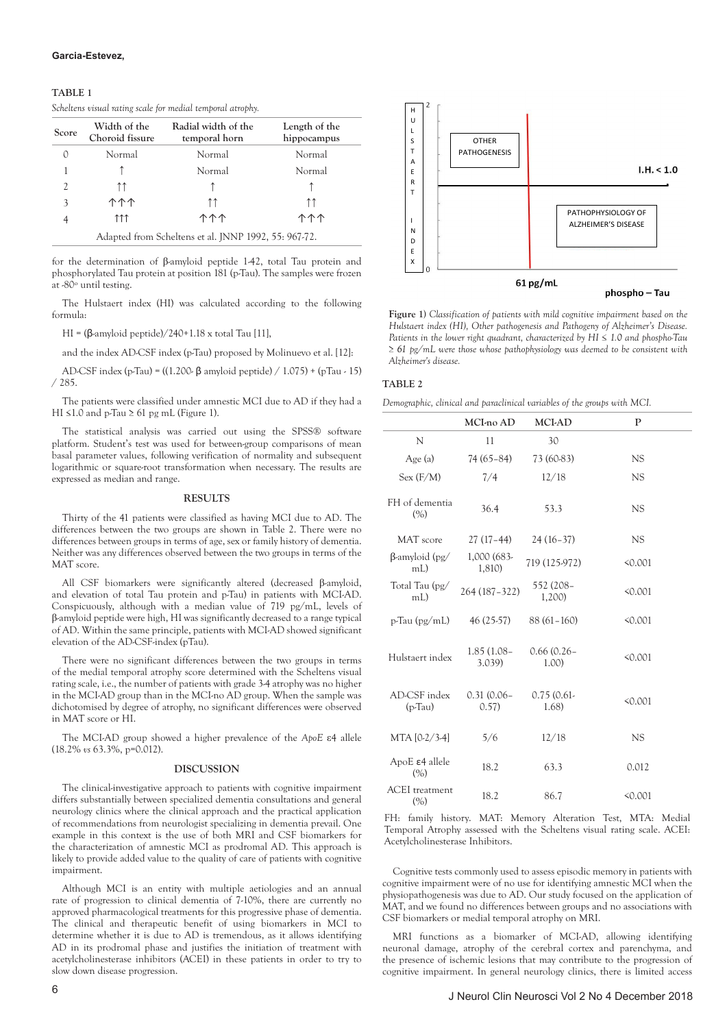## **TABLE 1**

*Scheltens visual rating scale for medial temporal atrophy.*

| <b>Score</b>   | Width of the<br>Choroid fissure | Radial width of the<br>temporal horn                 | Length of the<br>hippocampus |
|----------------|---------------------------------|------------------------------------------------------|------------------------------|
|                | Normal                          | Normal                                               | Normal                       |
|                |                                 | Normal                                               | Normal                       |
| $\mathfrak{D}$ | ↑↑                              |                                                      |                              |
| 3              | <u> ተተተ</u>                     | ↑↑                                                   | ↑↑                           |
|                | ተተተ                             | <u> ተተ</u>                                           | <u> ተተ</u>                   |
|                |                                 | Adapted from Scheltens et al. JNNP 1992, 55: 967-72. |                              |

for the determination of β-amyloid peptide 1-42, total Tau protein and phosphorylated Tau protein at position 181 (p-Tau). The samples were frozen at -80º until testing.

The Hulstaert index (HI) was calculated according to the following formula:

HI =  $(\beta$ -amyloid peptide)/240+1.18 x total Tau [11],

and the index AD-CSF index (p-Tau) proposed by Molinuevo et al. [12]:

AD-CSF index (p-Tau) = ((1.200- β amyloid peptide) / 1.075) + (pTau - 15) / 285.

The patients were classified under amnestic MCI due to AD if they had a HI  $\leq$ 1.0 and p-Tau  $\geq$  61 pg mL (Figure 1).

The statistical analysis was carried out using the SPSS® software platform. Student's test was used for between-group comparisons of mean basal parameter values, following verification of normality and subsequent logarithmic or square-root transformation when necessary. The results are expressed as median and range.

#### **RESULTS**

Thirty of the 41 patients were classified as having MCI due to AD. The differences between the two groups are shown in Table 2. There were no differences between groups in terms of age, sex or family history of dementia. Neither was any differences observed between the two groups in terms of the MAT score.

All CSF biomarkers were significantly altered (decreased β-amyloid, and elevation of total Tau protein and p-Tau) in patients with MCI-AD. Conspicuously, although with a median value of 719 pg/mL, levels of β-amyloid peptide were high, HI was significantly decreased to a range typical of AD. Within the same principle, patients with MCI-AD showed significant elevation of the AD-CSF-index (pTau).

There were no significant differences between the two groups in terms of the medial temporal atrophy score determined with the Scheltens visual rating scale, i.e., the number of patients with grade 3-4 atrophy was no higher in the MCI-AD group than in the MCI-no AD group. When the sample was dichotomised by degree of atrophy, no significant differences were observed in MAT score or HI.

The MCI-AD group showed a higher prevalence of the *ApoE* ε4 allele (18.2% *vs* 63.3%, p=0.012).

#### **DISCUSSION**

The clinical-investigative approach to patients with cognitive impairment differs substantially between specialized dementia consultations and general neurology clinics where the clinical approach and the practical application of recommendations from neurologist specializing in dementia prevail. One example in this context is the use of both MRI and CSF biomarkers for the characterization of amnestic MCI as prodromal AD. This approach is likely to provide added value to the quality of care of patients with cognitive impairment.

Although MCI is an entity with multiple aetiologies and an annual rate of progression to clinical dementia of 7-10%, there are currently no approved pharmacological treatments for this progressive phase of dementia. The clinical and therapeutic benefit of using biomarkers in MCI to determine whether it is due to AD is tremendous, as it allows identifying AD in its prodromal phase and justifies the initiation of treatment with acetylcholinesterase inhibitors (ACEI) in these patients in order to try to slow down disease progression.



**Figure 1)** *Classification of patients with mild cognitive impairment based on the Hulstaert index (HI), Other pathogenesis and Pathogeny of Alzheimer's Disease. Patients in the lower right quadrant, characterized by HI ≤ 1.0 and phospho-Tau ≥ 61 pg/mL were those whose pathophysiology was deemed to be consistent with Alzheimer's disease.*

## **TABLE 2**

*Demographic, clinical and paraclinical variables of the groups with MCI.*

|                              | MCI-no AD              | <b>MCI-AD</b>          | P         |
|------------------------------|------------------------|------------------------|-----------|
| N                            | 11                     | 30                     |           |
| Age (a)                      | 74 (65-84)             | 73 (60-83)             | <b>NS</b> |
| Sex (F/M)                    | 7/4                    | 12/18                  | NS.       |
| FH of dementia<br>(% )       | 36.4                   | 53.3                   | <b>NS</b> |
| MAT score                    | $27(17-44)$            | $24(16-37)$            | NS        |
| $\beta$ -amyloid (pg/<br>mL  | 1,000 (683-<br>1,810)  | 719 (125-972)          | 50.001    |
| Total Tau (pg/<br>$mL$ )     | 264 (187-322)          | 552 (208–<br>1,200)    | < 0.001   |
| $p$ -Tau ( $pg/ml$ )         | 46 (25-57)             | $88(61 - 160)$         | 50.001    |
| Hulstaert index              | $1.85(1.08 -$<br>3.039 | $0.66(0.26 -$<br>1.00) | < 0.001   |
| AD-CSF index<br>$(p-Tau)$    | $0.31(0.06 -$<br>0.57) | 0.75(0.61<br>1.68)     | 50.001    |
| MTA [0-2/3-4]                | 5/6                    | 12/18                  | <b>NS</b> |
| $ApoE$ ε4 allele<br>(%)      | 18.2                   | 63.3                   | 0.012     |
| <b>ACEI</b> treatment<br>(%) | 18.2                   | 86.7                   | < 0.001   |

FH: family history. MAT: Memory Alteration Test, MTA: Medial Temporal Atrophy assessed with the Scheltens visual rating scale. ACEI: Acetylcholinesterase Inhibitors.

Cognitive tests commonly used to assess episodic memory in patients with cognitive impairment were of no use for identifying amnestic MCI when the physiopathogenesis was due to AD. Our study focused on the application of MAT, and we found no differences between groups and no associations with CSF biomarkers or medial temporal atrophy on MRI.

MRI functions as a biomarker of MCI-AD, allowing identifying neuronal damage, atrophy of the cerebral cortex and parenchyma, and the presence of ischemic lesions that may contribute to the progression of cognitive impairment. In general neurology clinics, there is limited access